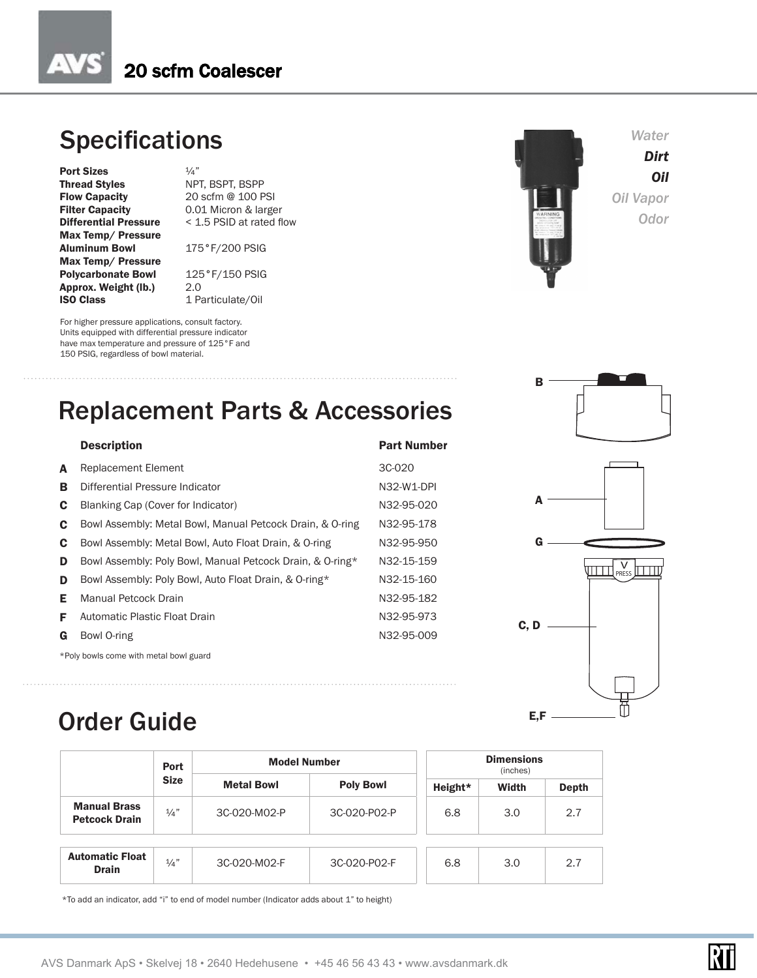#### **Specifications**

**Port Sizes**  $\frac{1}{4}$ "<br> **Thread Styles** NP Thread Styles NPT, BSPT, BSPP<br>Flow Capacity 20 scfm @ 100 P Flow Capacity 20 scfm @ 100 PSI<br>Filter Capacity 0.01 Micron & large Filter Capacity 0.01 Micron & larger<br>Differential Pressure < 1.5 PSID at rated fl Max Temp/ Pressure Aluminum Bowl 175°F/200 PSIG Max Temp/ Pressure **Polycarbonate Bowl** 125°F/150 PSIG<br>**Approx. Weight (lb.)** 2.0 Approx. Weight (lb.)<br>ISO Class

< 1.5 PSID at rated flow

1 Particulate/Oil

For higher pressure applications, consult factory. Units equipped with differential pressure indicator have max temperature and pressure of 125°F and 150 PSIG, regardless of bowl material.

# *Water Oil Vapor Odor*

*Dirt Oil*

B

A

G

C, D

 $E, F -$ 

V<sub>PRESS</sub>

m

RTI



|    | <b>TROPICOUTIONS</b>                                      |            |
|----|-----------------------------------------------------------|------------|
| в  | Differential Pressure Indicator                           | N32-W1-DPI |
| C  | Blanking Cap (Cover for Indicator)                        | N32-95-020 |
| C  | Bowl Assembly: Metal Bowl, Manual Petcock Drain, & O-ring | N32-95-178 |
| C  | Bowl Assembly: Metal Bowl, Auto Float Drain, & O-ring     | N32-95-950 |
| D  | Bowl Assembly: Poly Bowl, Manual Petcock Drain, & O-ring* | N32-15-159 |
| D  | Bowl Assembly: Poly Bowl, Auto Float Drain, & O-ring*     | N32-15-160 |
| Е. | <b>Manual Petcock Drain</b>                               | N32-95-182 |
| F. | Automatic Plastic Float Drain                             | N32-95-973 |
| G  | Bowl O-ring                                               | N32-95-009 |

\*Poly bowls come with metal bowl guard

### Order Guide

|                                             | <b>Port</b>     | <b>Model Number</b> |                  |         | <b>Dimensions</b><br>(inches) |              |  |  |
|---------------------------------------------|-----------------|---------------------|------------------|---------|-------------------------------|--------------|--|--|
|                                             | <b>Size</b>     | <b>Metal Bowl</b>   | <b>Poly Bowl</b> | Height* | Width                         | <b>Depth</b> |  |  |
| <b>Manual Brass</b><br><b>Petcock Drain</b> | 1/a''           | 3C-020-M02-P        | 3C-020-P02-P     | 6.8     | 3.0                           | 2.7          |  |  |
| <b>Automatic Float</b><br><b>Drain</b>      | $\frac{1}{4}$ " | 3C-020-M02-F        | 3C-020-P02-F     | 6.8     | 3.0                           | 2.7          |  |  |

\*To add an indicator, add "i" to end of model number (Indicator adds about 1" to height)



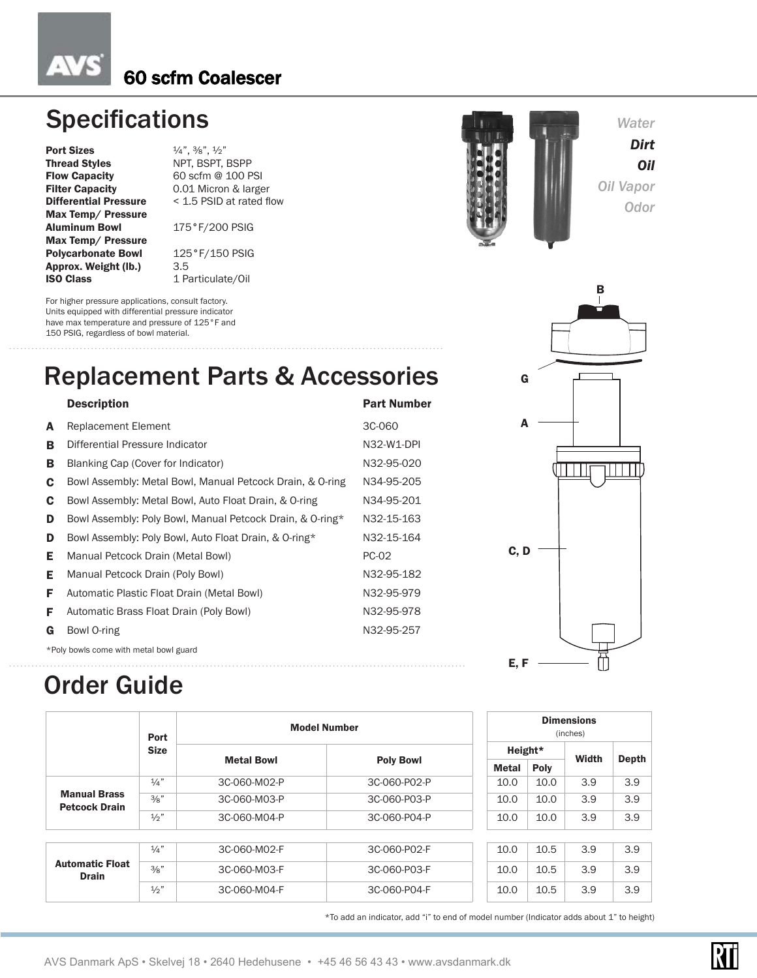#### 60 scfm Coalescer

### **Specifications**

**Port Sizes**  $\frac{4}{4}$ ,  $\frac{3}{8}$ ,  $\frac{1}{2}$ <br>**Thread Styles** NPT, BSPT, Thread Styles<br>
Flow Capacity<br>
Flow Capacity<br>
60 scfm @ 100 P **Flow Capacity** 60 scfm @ 100 PSI<br> **Filter Capacity** 0.01 Micron & large Max Temp/ Pressure Aluminum Bowl 175°F/200 PSIG Max Temp/ Pressure Polycarbonate Bowl 125°F/150 PSIG Approx. Weight (lb.) 3.5 **ISO Class** 1 Particulate/Oil

0.01 Micron & larger **Differential Pressure** < 1.5 PSID at rated flow

For higher pressure applications, consult factory. Units equipped with differential pressure indicator have max temperature and pressure of 125°F and 150 PSIG, regardless of bowl material.

### **Replacement Parts & Acce**

#### Description A Replacement Element **B** Differential Pressure Indicator **B** Blanking Cap (Cover for Indicator) C Bowl Assembly: Metal Bowl, Manual Petcock Drain, & O-ring C Bowl Assembly: Metal Bowl, Auto Float Drain, & O-ring D Bowl Assembly: Poly Bowl, Manual Petcock Drain, & O-ring\* D Bowl Assembly: Poly Bowl, Auto Float Drain, & O-ring\* E Manual Petcock Drain (Metal Bowl) PC-02 **E** Manual Petcock Drain (Poly Bowl) M32-95-182 F Automatic Plastic Float Drain (Metal Bowl) N32-95-979 **F** Automatic Brass Float Drain (Poly Bowl) N32-95-978 G Bowl O-ring N32-95-257

\*Poly bowls come with metal bowl guard

## Order Guide

|                                             | Port                             | <b>Model Number</b> |              |         |       | <b>Dimensions</b><br>(inches) |     |
|---------------------------------------------|----------------------------------|---------------------|--------------|---------|-------|-------------------------------|-----|
|                                             | <b>Size</b><br><b>Metal Bowl</b> |                     |              | Height* |       |                               |     |
|                                             |                                  | <b>Poly Bowl</b>    | <b>Metal</b> | Poly    | Width | <b>Depth</b>                  |     |
|                                             | $\frac{1}{4}$ "                  | 3C-060-M02-P        | 3C-060-P02-P | 10.0    | 10.0  | 3.9                           | 3.9 |
| <b>Manual Brass</b><br><b>Petcock Drain</b> | 3/8"                             | 3C-060-M03-P        | 3C-060-P03-P | 10.0    | 10.0  | 3.9                           | 3.9 |
|                                             | $\frac{1}{2}$ "                  | 3C-060-M04-P        | 3C-060-P04-P | 10.0    | 10.0  | 3.9                           | 3.9 |
|                                             |                                  |                     |              |         |       |                               |     |
|                                             | $\frac{1}{4}$ "                  | 3C-060-M02-F        | 3C-060-P02-F | 10.0    | 10.5  | 3.9                           | 3.9 |
| <b>Automatic Float</b><br><b>Drain</b>      | 3/8"                             | 3C-060-M03-F        | 3C-060-P03-F | 10.0    | 10.5  | 3.9                           | 3.9 |
|                                             | $\frac{1}{2}$                    | 3C-060-M04-F        | 3C-060-P04-F | 10.0    | 10.5  | 3.9                           | 3.9 |

\*To add an indicator, add "i" to end of model number (Indicator adds about 1" to height)

| G |  |
|---|--|
|   |  |
| A |  |
|   |  |
|   |  |
|   |  |
|   |  |
|   |  |
|   |  |
|   |  |



*Water Dirt Oil* 

*Oil Vapor Odor*

B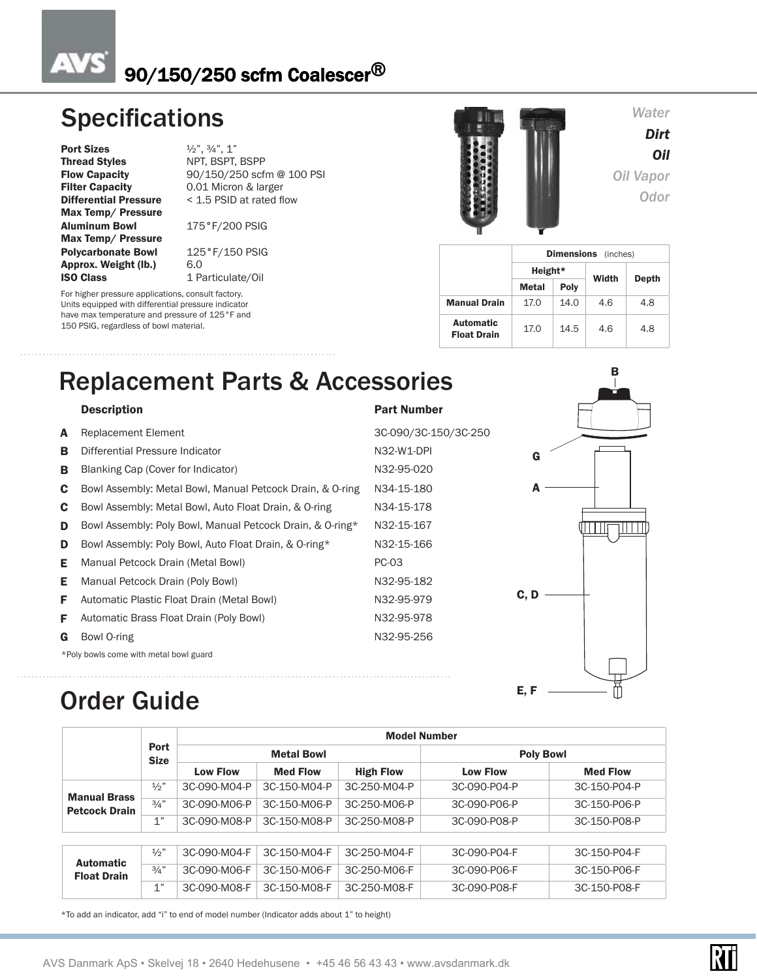#### $\Delta$ 90/150/250 scfm Coalescer®

#### **Specifications**

**Port Sizes**  $\frac{1}{2}$ ,  $\frac{3}{4}$ ,  $\frac{1}{1}$ Thread Styles NPT, BSPT, BSPP **Filter Capacity** 0.01 Micron & larger<br>**Differential Pressure** < 1.5 PSID at rated fl Max Temp/ Pressure Aluminum Bowl 175°F/200 PSIG Max Temp/ Pressure **Polycarbonate Bowl** 125°F/150 PSIG<br>**Approx. Weight (Ib.)** 6.0 Approx. Weight (lb.)<br>ISO Class

Flow Capacity 90/150/250 scfm @ 100 PSI<br>Filter Capacity 0.01 Micron & larger < 1.5 PSID at rated flow

1 Particulate/Oil

For higher pressure applications, consult factory. Units equipped with differential pressure indicator have max temperature and pressure of 125°F and 150 PSIG, regardless of bowl material.



#### *Water*

*Dirt Oil Oil Vapor Odor*

|                                 | <b>Dimensions</b><br>(inches) |      |       |       |  |  |  |  |
|---------------------------------|-------------------------------|------|-------|-------|--|--|--|--|
|                                 | Height*                       |      | Width |       |  |  |  |  |
|                                 | Metal                         | Poly |       | Depth |  |  |  |  |
| <b>Manual Drain</b>             | 17.0                          | 14.0 | 4.6   | 4.8   |  |  |  |  |
| Automatic<br><b>Float Drain</b> | 17.0                          | 14.5 | 4.6   | 4.8   |  |  |  |  |

## Replacement Parts & Accessories

#### Description **Part Number**

| A  | <b>Replacement Element</b>                                | 3C-090/3C-150/3C-250 |
|----|-----------------------------------------------------------|----------------------|
| в  | Differential Pressure Indicator                           | N32-W1-DPI           |
| в  | Blanking Cap (Cover for Indicator)                        | N32-95-020           |
| C  | Bowl Assembly: Metal Bowl, Manual Petcock Drain, & O-ring | N34-15-180           |
| C  | Bowl Assembly: Metal Bowl, Auto Float Drain, & O-ring     | N34-15-178           |
| D  | Bowl Assembly: Poly Bowl, Manual Petcock Drain, & O-ring* | N32-15-167           |
| D  | Bowl Assembly: Poly Bowl, Auto Float Drain, & O-ring*     | N32-15-166           |
| Е  | Manual Petcock Drain (Metal Bowl)                         | PC-03                |
| Е  | Manual Petcock Drain (Poly Bowl)                          | N32-95-182           |
| F. | Automatic Plastic Float Drain (Metal Bowl)                | N32-95-979           |
| F  | Automatic Brass Float Drain (Poly Bowl)                   | N32-95-978           |
| G  | Bowl O-ring                                               | N32-95-256           |
|    | *Poly bowls come with metal bowl guard                    |                      |
|    |                                                           |                      |



#### Order Guide

|                                             | Port<br><b>Size</b> |                 |                   |                  | <b>Model Number</b> |                 |  |
|---------------------------------------------|---------------------|-----------------|-------------------|------------------|---------------------|-----------------|--|
|                                             |                     |                 | <b>Metal Bowl</b> |                  | <b>Poly Bowl</b>    |                 |  |
|                                             |                     | <b>Low Flow</b> | <b>Med Flow</b>   | <b>High Flow</b> | <b>Low Flow</b>     | <b>Med Flow</b> |  |
|                                             | $\frac{1}{2}$ "     | 3C-090-M04-P    | 3C-150-M04-P      | 3C-250-M04-P     | 3C-090-P04-P        | 3C-150-P04-P    |  |
| <b>Manual Brass</b><br><b>Petcock Drain</b> | 3/4"                | 3C-090-M06-P    | 3C-150-M06-P      | 3C-250-M06-P     | 3C-090-P06-P        | 3C-150-P06-P    |  |
|                                             | 1"                  | 3C-090-M08-P    | 3C-150-M08-P      | 3C-250-M08-P     | 3C-090-P08-P        | 3C-150-P08-P    |  |
|                                             |                     |                 |                   |                  |                     |                 |  |
| <b>Automatic</b>                            | $\frac{1}{2}$ "     | 3C-090-M04-F    | 3C-150-M04-F      | 3C-250-M04-F     | 3C-090-P04-F        | 3C-150-P04-F    |  |
| <b>Float Drain</b>                          | 3/4"                | 3C-090-M06-F    | 3C-150-M06-F      | 3C-250-M06-F     | 3C-090-P06-F        | 3C-150-P06-F    |  |
|                                             | 1"                  | 3C-090-M08-F    | 3C-150-M08-F      | 3C-250-M08-F     | 3C-090-P08-F        | 3C-150-P08-F    |  |

\*To add an indicator, add "i" to end of model number (Indicator adds about 1" to height)

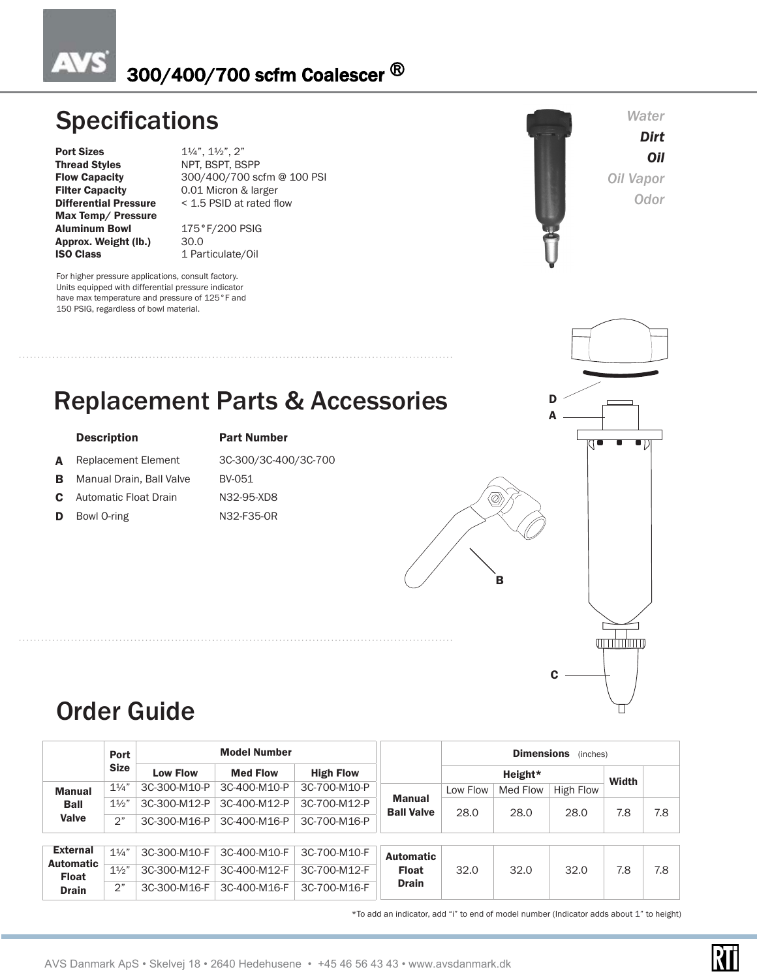#### AV 300/400/700 scfm Coalescer ®

#### **Specifications** *Water* **Contractions** *Dirt Oil Oil Vapor Odor* Replacement Parts & Accessories For higher pressure applications, consult factory. Units equipped with differential pressure indicator have max temperature and pressure of 125°F and 150 PSIG, regardless of bowl material. **Port Sizes** 1¼", 1½", 2"<br> **Thread Styles** NPT, BSPT, BS Thread Styles NPT, BSPT, BSPP<br>
Flow Capacity 300/400/700 so Flow Capacity 300/400/700 scfm @ 100 PSI<br>
Filter Capacity 0.01 Micron & larger Filter Capacity 0.01 Micron & larger<br>Differential Pressure < 1.5 PSID at rated fl < 1.5 PSID at rated flow Max Temp/ Pressure Aluminum Bowl 175°F/200 PSIG<br>Approx. Weight (lb.) 30.0 Approx. Weight (lb.)<br>ISO Class 1 Particulate/Oil Description **Part Number** A Replacement Element 3C-300/3C-400/3C-700 **B** Manual Drain, Ball Valve BV-051 C Automatic Float Drain N32-95-XD8 D Bowl O-ring N32-F35-OR A D



#### Order Guide

|                                  | Port           | <b>Model Number</b>                          |                 |                  |                                    | <b>Dimensions</b><br>(inches) |          |           |              |     |  |
|----------------------------------|----------------|----------------------------------------------|-----------------|------------------|------------------------------------|-------------------------------|----------|-----------|--------------|-----|--|
|                                  | <b>Size</b>    | <b>Low Flow</b>                              | <b>Med Flow</b> | <b>High Flow</b> |                                    |                               | Height*  |           | <b>Width</b> |     |  |
| <b>Manual</b>                    | $1\frac{1}{4}$ | 3C-300-M10-P                                 | 3C-400-M10-P    | 3C-700-M10-P     | <b>Manual</b><br><b>Ball Valve</b> | Low Flow                      | Med Flow | High Flow |              |     |  |
| <b>Ball</b>                      | $1\frac{1}{2}$ | 3C-300-M12-P                                 | 3C-400-M12-P    | 3C-700-M12-P     |                                    | 28.0                          | 28.0     | 28.0      | 7.8          | 7.8 |  |
| Valve                            | 2"             | 3C-300-M16-P                                 | 3C-400-M16-P    | 3C-700-M16-P     |                                    |                               |          |           |              |     |  |
|                                  |                |                                              |                 |                  |                                    |                               |          |           |              |     |  |
| <b>External</b>                  | $1\frac{1}{4}$ | 3C-300-M10-F                                 | 3C-400-M10-F    | 3C-700-M10-F     | <b>Automatic</b>                   |                               |          |           |              |     |  |
| <b>Automatic</b><br><b>Float</b> | $1\frac{1}{2}$ | 3C-300-M12-F                                 | 3C-400-M12-F    | 3C-700-M12-F     | <b>Float</b>                       | 32.0                          | 32.0     | 32.0      | 7.8          | 7.8 |  |
| <b>Drain</b>                     | 2"             | 3C-700-M16-F<br>3C-400-M16-F<br>3C-300-M16-F | <b>Drain</b>    |                  |                                    |                               |          |           |              |     |  |

\*To add an indicator, add "i" to end of model number (Indicator adds about 1" to height)

B

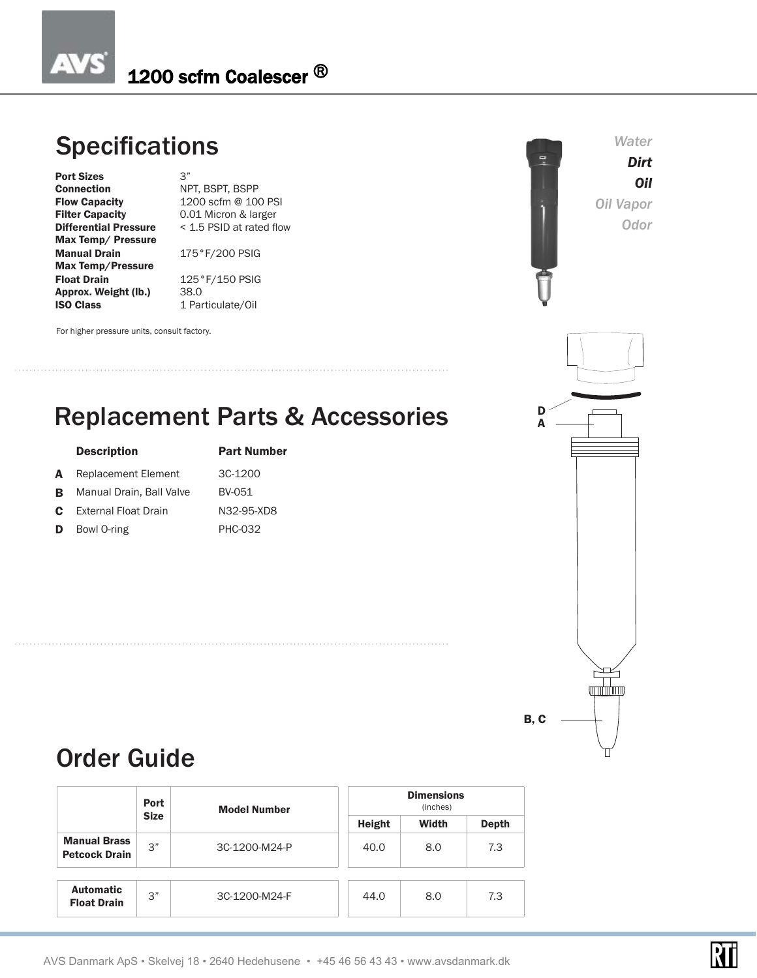#### AV 1200 scfm Coalescer ®

### **Specifications**

**Port Sizes** 3"<br> **Connection** NF **Connection** NPT, BSPT, BSPP<br> **Flow Capacity** 1200 scfm @ 10 Filter Capacity 0.01 Micron & larger<br>Differential Pressure < 1.5 PSID at rated fl Max Temp/ Pressure Manual Drain 175°F/200 PSIG Max Temp/Pressure Approx. Weight (lb.)<br>ISO Class

1200 scfm @ 100 PSI < 1.5 PSID at rated flow

 $125°F/150$  PSIG<br>38.0 1 Particulate/Oil

For higher pressure units, consult factory.

### Replacement Parts & Accessories

|    | <b>Description</b>          | <b>Part Number</b> |
|----|-----------------------------|--------------------|
| A  | <b>Replacement Element</b>  | 3C-1200            |
| в  | Manual Drain, Ball Valve    | BV-051             |
| C. | <b>External Float Drain</b> | N32-95-XD8         |
| D  | Bowl O-ring                 | <b>PHC-032</b>     |





#### Order Guide

|                                             | <b>Port</b> | <b>Model Number</b> |              | <b>Dimensions</b><br>(inches) |     |
|---------------------------------------------|-------------|---------------------|--------------|-------------------------------|-----|
|                                             | <b>Size</b> | Height              | <b>Width</b> | <b>Depth</b>                  |     |
| <b>Manual Brass</b><br><b>Petcock Drain</b> | 3"          | 3C-1200-M24-P       | 40.0         | 8.0                           | 7.3 |
| <b>Automatic</b><br><b>Float Drain</b>      | 3"          | 3C-1200-M24-F       | 44.0         | 8.0                           | 7.3 |